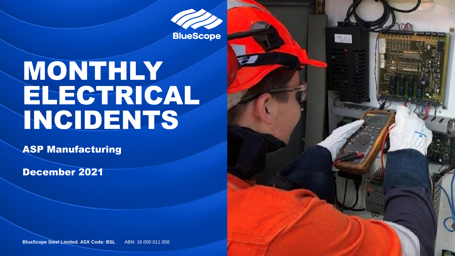**BlueScope** 

高麗

# MONTHLY ELECTRICAL INCIDENTS

ASP Manufacturing

December 2021

**BlueScope Steel Limited. ASX Code: BSL ABN: 16 000 011 058**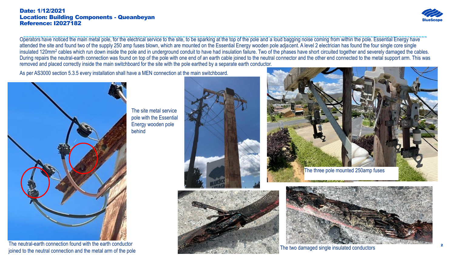#### Date: 1/12/2021 Location: Building Components - Queanbeyan Reference: I2027182



Operators have noticed the main metal pole, for the electrical service to the site, to be sparking at the top of the pole and a loud bagging noise coming from within the pole. Essential Energy have attended the site and found two of the supply 250 amp fuses blown, which are mounted on the Essential Energy wooden pole adjacent. A level 2 electrician has found the four single core single insulated 120mm<sup>2</sup> cables which run down inside the pole and in underground conduit to have had insulation failure. Two of the phases have short circuited together and severely damaged the cables. During repairs the neutral-earth connection was found on top of the pole with one end of an earth cable joined to the neutral connector and the other end connected to the metal support arm. This was removed and placed correctly inside the main switchboard for the site with the pole earthed by a separate earth conductor.

As per AS3000 section 5.3.5 every installation shall have a MEN connection at the main switchboard.



The neutral-earth connection found with the earth conductor joined to the neutral connection and the metal arm of the pole

The site metal service pole with the Essential Energy wooden pole behind







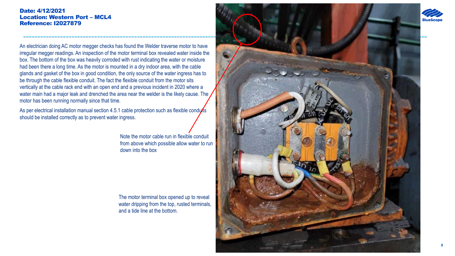#### Date: 4/12/2021 Location: Western Port – MCL4 Reference: I2027879

An electrician doing AC motor megger checks has found the Welder traverse motor to have irregular megger readings. An inspection of the motor terminal box revealed water inside the box. The bottom of the box was heavily corroded with rust indicating the water or moisture had been there a long time. As the motor is mounted in a dry indoor area, with the cable glands and gasket of the box in good condition, the only source of the water ingress has to be through the cable flexible conduit. The fact the flexible conduit from the motor sits vertically at the cable rack end with an open end and a previous incident in 2020 where a water main had a major leak and drenched the area near the welder is the likely cause. The motor has been running normally since that time.

As per electrical installation manual section 4.5.1 cable protection such as flexible conduits should be installed correctly as to prevent water ingress.

> Note the motor cable run in flexible conduit from above which possible allow water to run down into the box

The motor terminal box opened up to reveal water dripping from the top, rusted terminals, and a tide line at the bottom.

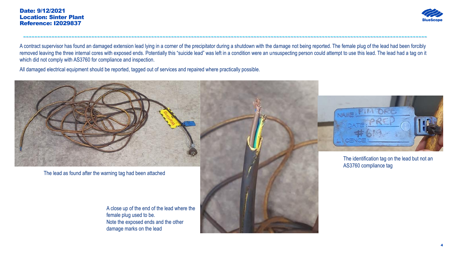

A contract supervisor has found an damaged extension lead lying in a corner of the precipitator during a shutdown with the damage not being reported. The female plug of the lead had been forcibly removed leaving the three internal cores with exposed ends. Potentially this "suicide lead" was left in a condition were an unsuspecting person could attempt to use this lead. The lead had a tag on it which did not comply with AS3760 for compliance and inspection.

----------------------------------------------------------------------------------------------------------------------------------------------

All damaged electrical equipment should be reported, tagged out of services and repaired where practically possible.



The lead as found after the warning tag had been attached

A close up of the end of the lead where the female plug used to be. Note the exposed ends and the other damage marks on the lead



The identification tag on the lead but not an AS3760 compliance tag